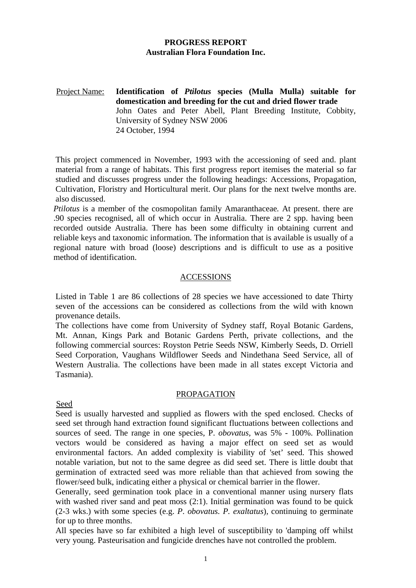# **PROGRESS REPORT Australian Flora Foundation Inc.**

Project Name: **Identification of** *Ptilotus* **species (Mulla Mulla) suitable for domestication and breeding for the cut and dried flower trade**  John Oates and Peter Abell, Plant Breeding Institute, Cobbity, University of Sydney NSW 2006 24 October, 1994

This project commenced in November, 1993 with the accessioning of seed and. plant material from a range of habitats. This first progress report itemises the material so far studied and discusses progress under the following headings: Accessions, Propagation, Cultivation, Floristry and Horticultural merit. Our plans for the next twelve months are. also discussed.

*Ptilotus* is a member of the cosmopolitan family Amaranthaceae*.* At present. there are .90 species recognised, all of which occur in Australia. There are 2 spp. having been recorded outside Australia. There has been some difficulty in obtaining current and reliable keys and taxonomic information. The information that is available is usually of a regional nature with broad (loose) descriptions and is difficult to use as a positive method of identification.

# ACCESSIONS

Listed in Table 1 are 86 collections of 28 species we have accessioned to date Thirty seven of the accessions can be considered as collections from the wild with known provenance details.

The collections have come from University of Sydney staff, Royal Botanic Gardens, Mt. Annan, Kings Park and Botanic Gardens Perth, private collections, and the following commercial sources: Royston Petrie Seeds NSW, Kimberly Seeds, D. Orriell Seed Corporation, Vaughans Wildflower Seeds and Nindethana Seed Service, all of Western Australia. The collections have been made in all states except Victoria and Tasmania).

#### PROPAGATION

#### Seed

Seed is usually harvested and supplied as flowers with the sped enclosed. Checks of seed set through hand extraction found significant fluctuations between collections and sources of seed. The range in one species, P. *obovatus,* was 5% - 100%. Pollination vectors would be considered as having a major effect on seed set as would environmental factors. An added complexity is viability of 'set' seed. This showed notable variation, but not to the same degree as did seed set. There is little doubt that germination of extracted seed was more reliable than that achieved from sowing the flower/seed bulk, indicating either a physical or chemical barrier in the flower.

Generally, seed germination took place in a conventional manner using nursery flats with washed river sand and peat moss (2:1). Initial germination was found to be quick (2-3 wks.) with some species (e.g. *P*. *obovatus. P. exaltatus*)*,* continuing to germinate for up to three months.

All species have so far exhibited a high level of susceptibility to 'damping off whilst very young. Pasteurisation and fungicide drenches have not controlled the problem.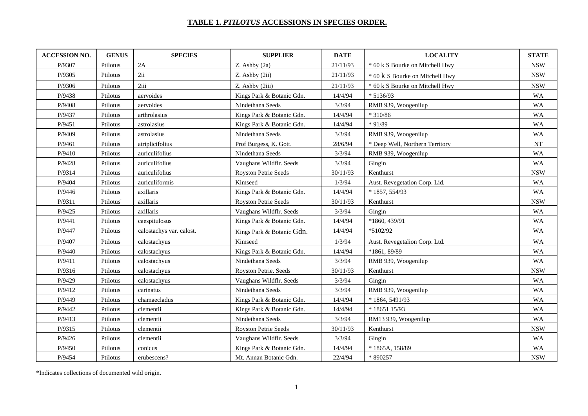#### **TABLE 1.** *PTILOTUS* **ACCESSIONS IN SPECIES ORDER.**

| <b>ACCESSION NO.</b> | <b>GENUS</b> | <b>SPECIES</b>           | <b>SUPPLIER</b>              | <b>DATE</b> | <b>LOCALITY</b>                 | <b>STATE</b> |
|----------------------|--------------|--------------------------|------------------------------|-------------|---------------------------------|--------------|
| P/9307               | Ptilotus     | 2A                       | $Z.$ Ashby $(2a)$            | 21/11/93    | * 60 k S Bourke on Mitchell Hwy | <b>NSW</b>   |
| P/9305               | Ptilotus     | 2ii                      | $Z.$ Ashby $(2ii)$           | 21/11/93    | * 60 k S Bourke on Mitchell Hwy | <b>NSW</b>   |
| P/9306               | Ptilotus     | 2iii                     | Z. Ashby (2iii)              | 21/11/93    | * 60 k S Bourke on Mitchell Hwy | <b>NSW</b>   |
| P/9438               | Ptilotus     | aervoides                | Kings Park & Botanic Gdn.    | 14/4/94     | $*5136/93$                      | <b>WA</b>    |
| P/9408               | Ptilotus     | aervoides                | Nindethana Seeds             | 3/3/94      | RMB 939, Woogenilup             | <b>WA</b>    |
| P/9437               | Ptilotus     | arthrolasius             | Kings Park & Botanic Gdn.    | 14/4/94     | $*310/86$                       | <b>WA</b>    |
| P/9451               | Ptilotus     | astrolasius              | Kings Park & Botanic Gdn.    | 14/4/94     | $*91/89$                        | <b>WA</b>    |
| P/9409               | Ptilotus     | astrolasius              | Nindethana Seeds             | 3/3/94      | RMB 939, Woogenilup             | <b>WA</b>    |
| P/9461               | Ptilotus     | atriplicifolius          | Prof Burgess, K. Gott.       | 28/6/94     | * Deep Well, Northern Territory | NT           |
| P/9410               | Ptilotus     | auriculifolius           | Nindethana Seeds             | 3/3/94      | RMB 939, Woogenilup             | WA           |
| P/9428               | Ptilotus     | auriculifolius           | Vaughans Wildflr. Seeds      | 3/3/94      | Gingin                          | <b>WA</b>    |
| P/9314               | Ptilotus     | auriculifolius           | Royston Petrie Seeds         | 30/11/93    | Kenthurst                       | <b>NSW</b>   |
| P/9404               | Ptilotus     | auriculiformis           | Kimseed                      | 1/3/94      | Aust. Revegetation Corp. Lid.   | <b>WA</b>    |
| P/9446               | Ptilotus     | axillaris                | Kings Park & Botanic Gdn.    | 14/4/94     | $*1857,554/93$                  | <b>WA</b>    |
| P/9311               | Ptilotus'    | axillaris                | <b>Royston Petrie Seeds</b>  | 30/11/93    | Kenthurst                       | <b>NSW</b>   |
| P/9425               | Ptilotus     | axillaris                | Vaughans Wildflr. Seeds      | 3/3/94      | Gingin                          | <b>WA</b>    |
| P/9441               | Ptilotus     | caespitulosus            | Kings Park & Botanic Gdn.    | 14/4/94     | *1860, 439/91                   | <b>WA</b>    |
| P/9447               | Ptilotus     | calostachys var. calost. | Kings Park & Botanic Gdn.    | 14/4/94     | $*5102/92$                      | <b>WA</b>    |
| P/9407               | Ptilotus     | calostachyus             | Kimseed                      | 1/3/94      | Aust. Revegetalion Corp. Ltd.   | <b>WA</b>    |
| P/9440               | Ptilotus     | calostachyus             | Kings Park & Botanic Gdn.    | 14/4/94     | *1861, 89/89                    | <b>WA</b>    |
| P/9411               | Ptilotus     | calostachyus             | Nindethana Seeds             | 3/3/94      | RMB 939, Woogenilup             | <b>WA</b>    |
| P/9316               | Ptilotus     | calostachyus             | <b>Royston Petrie. Seeds</b> | 30/11/93    | Kenthurst                       | <b>NSW</b>   |
| P/9429               | Ptilotus     | calostachyus             | Vaughans Wildflr. Seeds      | 3/3/94      | Gingin                          | <b>WA</b>    |
| P/9412               | Ptilotus     | carinatus                | Nindethana Seeds             | 3/3/94      | RMB 939, Woogenilup             | <b>WA</b>    |
| P/9449               | Ptilotus     | chamaecladus             | Kings Park & Botanic Gdn.    | 14/4/94     | * 1864, 5491/93                 | <b>WA</b>    |
| P/9442               | Ptilotus     | clementii                | Kings Park & Botanic Gdn.    | 14/4/94     | * 18651 15/93                   | <b>WA</b>    |
| P/9413               | Ptilotus     | clementii                | Nindethana Seeds             | 3/3/94      | RM13 939, Woogenilup            | WA           |
| P/9315               | Ptilotus     | clementii                | Royston Petrie Seeds         | 30/11/93    | Kenthurst                       | <b>NSW</b>   |
| P/9426               | Ptilotus     | clementii                | Vaughans Wildflr. Seeds      | 3/3/94      | Gingin                          | <b>WA</b>    |
| P/9450               | Ptilotus     | conicus                  | Kings Park & Botanic Gdn.    | 14/4/94     | * 1865A, 158/89                 | <b>WA</b>    |
| P/9454               | Ptilotus     | erubescens?              | Mt. Annan Botanic Gdn.       | 22/4/94     | * 890257                        | <b>NSW</b>   |

\*Indicates collections of documented wild origin.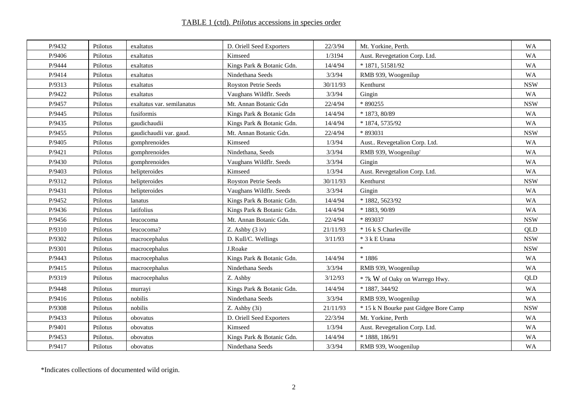# TABLE 1 (ctd). *Ptilotus* accessions in species order

| P/9432 | Ptilotus  | exaltatus                  | D. Oriell Seed Exporters  | 22/3/94  | Mt. Yorkine, Perth.                   | <b>WA</b>  |
|--------|-----------|----------------------------|---------------------------|----------|---------------------------------------|------------|
| P/9406 | Ptilotus  | exaltatus                  | Kimseed                   | 1/3194   | Aust. Revegetation Corp. Ltd.         | <b>WA</b>  |
| P/9444 | Ptilotus  | exaltatus                  | Kings Park & Botanic Gdn. | 14/4/94  | * 1871, 51581/92                      | <b>WA</b>  |
| P/9414 | Ptilotus  | exaltatus                  | Nindethana Seeds          | 3/3/94   | RMB 939, Woogenilup                   | <b>WA</b>  |
| P/9313 | Ptilotus  | exaltatus                  | Royston Petrie Seeds      | 30/11/93 | Kenthurst                             | <b>NSW</b> |
| P/9422 | Ptilotus  | exaltatus                  | Vaughans Wildflr. Seeds   | 3/3/94   | Gingin                                | <b>WA</b>  |
| P/9457 | Ptilotus  | exaltatus var. semilanatus | Mt. Annan Botanic Gdn     | 22/4/94  | * 890255                              | <b>NSW</b> |
| P/9445 | Ptilotus  | fusiformis                 | Kings Park & Botanic Gdn  | 14/4/94  | $*1873, 80/89$                        | <b>WA</b>  |
| P/9435 | Ptilotus  | gaudichaudii               | Kings Park & Botanic Gdn. | 14/4/94  | * 1874, 5735/92                       | <b>WA</b>  |
| P/9455 | Ptilotus  | gaudichaudii var. gaud.    | Mt. Annan Botanic Gdn.    | 22/4/94  | * 893031                              | <b>NSW</b> |
| P/9405 | Ptilotus  | gomphrenoides              | Kimseed                   | 1/3/94   | Aust Revegetalion Corp. Ltd.          | <b>WA</b>  |
| P/9421 | Ptilotus  | gomphrenoides              | Nindethana, Seeds         | 3/3/94   | RMB 939, Woogenilup'                  | <b>WA</b>  |
| P/9430 | Ptilotus  | gomphrenoides              | Vaughans Wildflr. Seeds   | 3/3/94   | Gingin                                | <b>WA</b>  |
| P/9403 | Ptilotus  | helipteroides              | Kimseed                   | 1/3/94   | Aust. Revegetalion Corp. Ltd.         | <b>WA</b>  |
| P/9312 | Ptilotus  | helipteroides              | Royston Petrie Seeds      | 30/11/93 | Kenthurst                             | <b>NSW</b> |
| P/9431 | Ptilotus  | helipteroides              | Vaughans Wildflr. Seeds   | 3/3/94   | Gingin                                | <b>WA</b>  |
| P/9452 | Ptilotus  | lanatus                    | Kings Park & Botanic Gdn. | 14/4/94  | * 1882, 5623/92                       | <b>WA</b>  |
| P/9436 | Ptilotus  | latifolius                 | Kings Park & Botanic Gdn. | 14/4/94  | * 1883, 90/89                         | WA         |
| P/9456 | Ptilotus  | leucocoma                  | Mt. Annan Botanic Gdn.    | 22/4/94  | * 893037                              | <b>NSW</b> |
| P/9310 | Ptilotus  | leucocoma?                 | $Z.$ Ashby $(3 iv)$       | 21/11/93 | * 16 k S Charleville                  | QLD        |
| P/9302 | Ptilotus  | macrocephalus              | D. Kull/C. Wellings       | 3/11/93  | * 3 k E Urana                         | <b>NSW</b> |
| P/9301 | Ptilotus  | macrocephalus              | J.Roake                   |          | $\ast$                                | <b>NSW</b> |
| P/9443 | Ptilotus  | macrocephalus              | Kings Park & Botanic Gdn. | 14/4/94  | $*1886$                               | <b>WA</b>  |
| P/9415 | Ptilotus  | macrocephalus              | Nindethana Seeds          | 3/3/94   | RMB 939, Woogenilup                   | <b>WA</b>  |
| P/9319 | Ptilotus  | macrocephalus              | Z. Ashby                  | 3/12/93  | * 7k W of Oaky on Warrego Hwy.        | QLD        |
| P/9448 | Ptilotus  | murrayi                    | Kings Park & Botanic Gdn. | 14/4/94  | * 1887, 344/92                        | <b>WA</b>  |
| P/9416 | Ptilotus  | nobilis                    | Nindethana Seeds          | 3/3/94   | RMB 939, Woogenilup                   | <b>WA</b>  |
| P/9308 | Ptilotus  | nobilis                    | Z. Ashby (3i)             | 21/11/93 | * 15 k N Bourke past Gidgee Bore Camp | <b>NSW</b> |
| P/9433 | Ptilotus  | obovatus                   | D. Oriell Seed Exporters  | 22/3/94  | Mt. Yorkine, Perth                    | <b>WA</b>  |
| P/9401 | Ptilotus  | obovatus                   | Kimseed                   | 1/3/94   | Aust. Revegetalion Corp. Ltd.         |            |
| P/9453 | Ptilotus. | obovatus                   | Kings Park & Botanic Gdn. | 14/4/94  | * 1888, 186/91                        | WA         |
| P/9417 | Ptilotus  | obovatus                   | Nindethana Seeds          | 3/3/94   | RMB 939, Woogenilup                   | <b>WA</b>  |

\*Indicates collections of documented wild origin.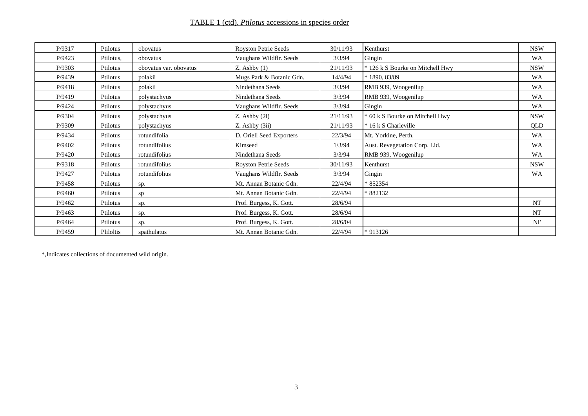# TABLE 1 (ctd). *Ptilotus* accessions in species order

| P/9317 | Ptilotus  | obovatus               | <b>Royston Petrie Seeds</b> | 30/11/93 | Kenthurst                        | <b>NSW</b> |
|--------|-----------|------------------------|-----------------------------|----------|----------------------------------|------------|
| P/9423 | Ptilotus. | obovatus               | Vaughans Wildflr. Seeds     | 3/3/94   | Gingin                           | WA         |
| P/9303 | Ptilotus  | obovatus var. obovatus | $Z.$ Ashby $(1)$            | 21/11/93 | * 126 k S Bourke on Mitchell Hwy | <b>NSW</b> |
| P/9439 | Ptilotus  | polakii                | Mugs Park & Botanic Gdn.    | 14/4/94  | * 1890, 83/89                    | WA         |
| P/9418 | Ptilotus  | polakii                | Nindethana Seeds            | 3/3/94   | RMB 939, Woogenilup              | WA         |
| P/9419 | Ptilotus  | polystachyus           | Nindethana Seeds            | 3/3/94   | RMB 939, Woogenilup              | WA         |
| P/9424 | Ptilotus  | polystachyus           | Vaughans Wildflr. Seeds     | 3/3/94   | Gingin                           | <b>WA</b>  |
| P/9304 | Ptilotus  | polystachyus           | $Z.$ Ashby $(2i)$           | 21/11/93 | * 60 k S Bourke on Mitchell Hwy  | <b>NSW</b> |
| P/9309 | Ptilotus  | polystachyus           | $Z.$ Ashby $(3ii)$          | 21/11/93 | * 16 k S Charleville             | QLD        |
| P/9434 | Ptilotus  | rotundifolia           | D. Oriell Seed Exporters    | 22/3/94  | Mt. Yorkine, Perth.              | WA         |
| P/9402 | Ptilotus  | rotundifolius          | Kimseed                     | 1/3/94   | Aust. Revegetation Corp. Lid.    | <b>WA</b>  |
| P/9420 | Ptilotus  | rotundifolius          | Nindethana Seeds            | 3/3/94   | RMB 939, Woogenilup              | <b>WA</b>  |
| P/9318 | Ptilotus  | rotundifolius          | <b>Royston Petrie Seeds</b> | 30/11/93 | Kenthurst                        | <b>NSW</b> |
| P/9427 | Ptilotus  | rotundifolius          | Vaughans Wildflr. Seeds     | 3/3/94   | Gingin                           | <b>WA</b>  |
| P/9458 | Ptilotus  | sp.                    | Mt. Annan Botanic Gdn.      | 22/4/94  | * 852354                         |            |
| P/9460 | Ptilotus  | sp                     | Mt. Annan Botanic Gdn.      | 22/4/94  | * 882132                         |            |
| P/9462 | Ptilotus  | sp.                    | Prof. Burgess, K. Gott.     | 28/6/94  |                                  | <b>NT</b>  |
| P/9463 | Ptilotus  | sp.                    | Prof. Burgess, K. Gott.     | 28/6/94  |                                  | <b>NT</b>  |
| P/9464 | Ptilotus  | sp.                    | Prof. Burgess, K. Gott.     | 28/6/04  |                                  | NI'        |
| P/9459 | Pliloltis | spathulatus            | Mt. Annan Botanic Gdn.      | 22/4/94  | * 913126                         |            |

\*,Indicates collections of documented wild origin.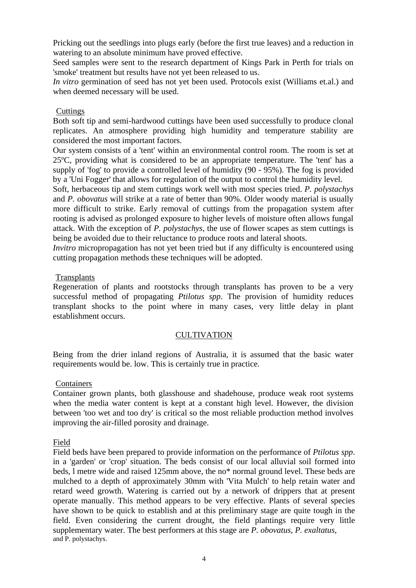Pricking out the seedlings into plugs early (before the first true leaves) and a reduction in watering to an absolute minimum have proved effective.

Seed samples were sent to the research department of Kings Park in Perth for trials on 'smoke' treatment but results have not yet been released to us.

*In vitro* germination of seed has not yet been used. Protocols exist (Williams et.al.) and when deemed necessary will be used.

# **Cuttings**

Both soft tip and semi-hardwood cuttings have been used successfully to produce clonal replicates. An atmosphere providing high humidity and temperature stability are considered the most important factors.

Our system consists of a 'tent' within an environmental control room. The room is set at 25ºC, providing what is considered to be an appropriate temperature. The 'tent' has a supply of 'fog' to provide a controlled level of humidity (90 - 95%). The fog is provided by a 'Uni Fogger' that allows for regulation of the output to control the humidity level.

Soft, herbaceous tip and stem cuttings work well with most species tried. *P. polystachys* and *P. obovatus* will strike at a rate of better than 90%. Older woody material is usually more difficult to strike. Early removal of cuttings from the propagation system after rooting is advised as prolonged exposure to higher levels of moisture often allows fungal attack. With the exception of *P. polystachys*, the use of flower scapes as stem cuttings is being be avoided due to their reluctance to produce roots and lateral shoots.

*Invitro* micropropagation has not yet been tried but if any difficulty is encountered using cutting propagation methods these techniques will be adopted.

# **Transplants**

Regeneration of plants and rootstocks through transplants has proven to be a very successful method of propagating *Ptilotus spp*. The provision of humidity reduces transplant shocks to the point where in many cases, very little delay in plant establishment occurs.

#### **CULTIVATION**

Being from the drier inland regions of Australia, it is assumed that the basic water requirements would be. low. This is certainly true in practice.

#### Containers

Container grown plants, both glasshouse and shadehouse, produce weak root systems when the media water content is kept at a constant high level. However, the division between 'too wet and too dry' is critical so the most reliable production method involves improving the air-filled porosity and drainage.

#### Field

Field beds have been prepared to provide information on the performance of *Ptilotus spp*. in a 'garden' or 'crop' situation. The beds consist of our local alluvial soil formed into beds, l metre wide and raised 125mm above, the no\* normal ground level. These beds are mulched to a depth of approximately 30mm with 'Vita Mulch' to help retain water and retard weed growth. Watering is carried out by a network of drippers that at present operate manually. This method appears to be very effective. Plants of several species have shown to be quick to establish and at this preliminary stage are quite tough in the field. Even considering the current drought, the field plantings require very little supplementary water. The best performers at this stage are *P. obovatus*, *P. exaltatus*, and P. polystachys.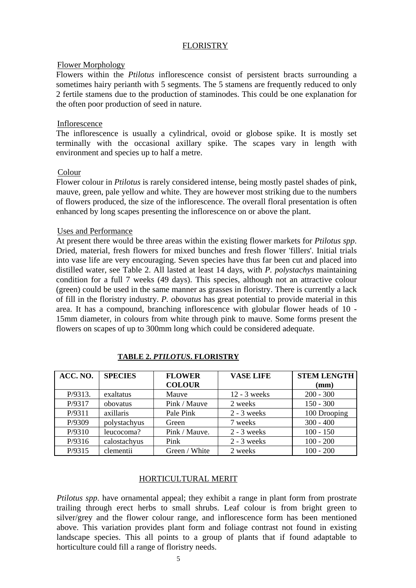# FLORISTRY

# Flower Morphology

Flowers within the *Ptilotus* inflorescence consist of persistent bracts surrounding a sometimes hairy perianth with 5 segments. The 5 stamens are frequently reduced to only 2 fertile stamens due to the production of staminodes. This could be one explanation for the often poor production of seed in nature.

# Inflorescence

The inflorescence is usually a cylindrical, ovoid or globose spike. It is mostly set terminally with the occasional axillary spike. The scapes vary in length with environment and species up to half a metre.

# Colour

Flower colour in *Ptilotus* is rarely considered intense, being mostly pastel shades of pink, mauve, green, pale yellow and white. They are however most striking due to the numbers of flowers produced, the size of the inflorescence. The overall floral presentation is often enhanced by long scapes presenting the inflorescence on or above the plant.

# Uses and Performance

At present there would be three areas within the existing flower markets for *Ptilotus spp*. Dried, material, fresh flowers for mixed bunches and fresh flower 'fillers'. Initial trials into vase life are very encouraging. Seven species have thus far been cut and placed into distilled water, see Table 2. All lasted at least 14 days, with *P. polystachys* maintaining condition for a full 7 weeks (49 days). This species, although not an attractive colour (green) could be used in the same manner as grasses in floristry. There is currently a lack of fill in the floristry industry. *P. obovatus* has great potential to provide material in this area. It has a compound, branching inflorescence with globular flower heads of 10 - 15mm diameter, in colours from white through pink to mauve. Some forms present the flowers on scapes of up to 300mm long which could be considered adequate.

| ACC. NO. | <b>SPECIES</b> | <b>FLOWER</b> | <b>VASE LIFE</b> | <b>STEM LENGTH</b> |
|----------|----------------|---------------|------------------|--------------------|
|          |                | <b>COLOUR</b> |                  | (mm)               |
| P/9313.  | exaltatus      | Mauve         | $12 - 3$ weeks   | $200 - 300$        |
| P/9317   | obovatus       | Pink / Mauve  | 2 weeks          | $150 - 300$        |
| P/9311   | axillaris      | Pale Pink     | $2 - 3$ weeks    | 100 Drooping       |
| P/9309   | polystachyus   | Green         | 7 weeks          | $300 - 400$        |
| P/9310   | leucocoma?     | Pink / Mauve. | $2 - 3$ weeks    | $100 - 150$        |
| P/9316   | calostachyus   | Pink          | $2 - 3$ weeks    | $100 - 200$        |
| P/9315   | clementii      | Green / White | 2 weeks          | $100 - 200$        |

#### **TABLE 2.** *PTILOTUS***. FLORISTRY**

# HORTICULTURAL MERIT

*Ptilotus spp*. have ornamental appeal; they exhibit a range in plant form from prostrate trailing through erect herbs to small shrubs. Leaf colour is from bright green to silver/grey and the flower colour range, and inflorescence form has been mentioned above. This variation provides plant form and foliage contrast not found in existing landscape species. This all points to a group of plants that if found adaptable to horticulture could fill a range of floristry needs.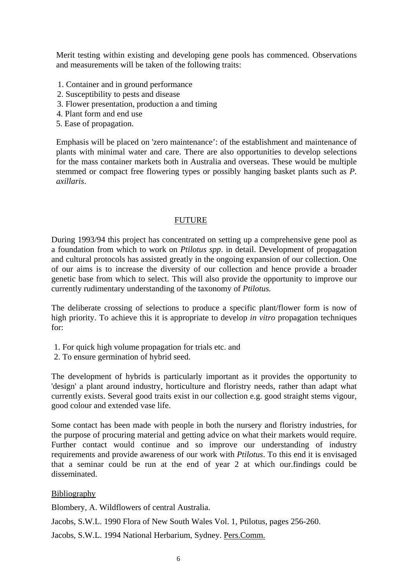Merit testing within existing and developing gene pools has commenced. Observations and measurements will be taken of the following traits:

- 1. Container and in ground performance
- 2. Susceptibility to pests and disease
- 3. Flower presentation, production a and timing
- 4. Plant form and end use
- 5. Ease of propagation.

Emphasis will be placed on 'zero maintenance': of the establishment and maintenance of plants with minimal water and care. There are also opportunities to develop selections for the mass container markets both in Australia and overseas. These would be multiple stemmed or compact free flowering types or possibly hanging basket plants such as *P. axillaris*.

#### FUTURE

During 1993/94 this project has concentrated on setting up a comprehensive gene pool as a foundation from which to work on *Ptilotus spp*. in detail. Development of propagation and cultural protocols has assisted greatly in the ongoing expansion of our collection. One of our aims is to increase the diversity of our collection and hence provide a broader genetic base from which to select. This will also provide the opportunity to improve our currently rudimentary understanding of the taxonomy of *Ptilotus.* 

The deliberate crossing of selections to produce a specific plant/flower form is now of high priority. To achieve this it is appropriate to develop *in vitro* propagation techniques for:

- 1. For quick high volume propagation for trials etc. and
- 2. To ensure germination of hybrid seed.

The development of hybrids is particularly important as it provides the opportunity to 'design' a plant around industry, horticulture and floristry needs, rather than adapt what currently exists. Several good traits exist in our collection e.g. good straight stems vigour, good colour and extended vase life.

Some contact has been made with people in both the nursery and floristry industries, for the purpose of procuring material and getting advice on what their markets would require. Further contact would continue and so improve our understanding of industry requirements and provide awareness of our work with *Ptilotus*. To this end it is envisaged that a seminar could be run at the end of year 2 at which our.findings could be disseminated.

#### Bibliography

Blombery, A. Wildflowers of central Australia.

Jacobs, S.W.L. 1990 Flora of New South Wales Vol. 1, Ptilotus, pages 256-260.

Jacobs, S.W.L. 1994 National Herbarium, Sydney. Pers.Comm.